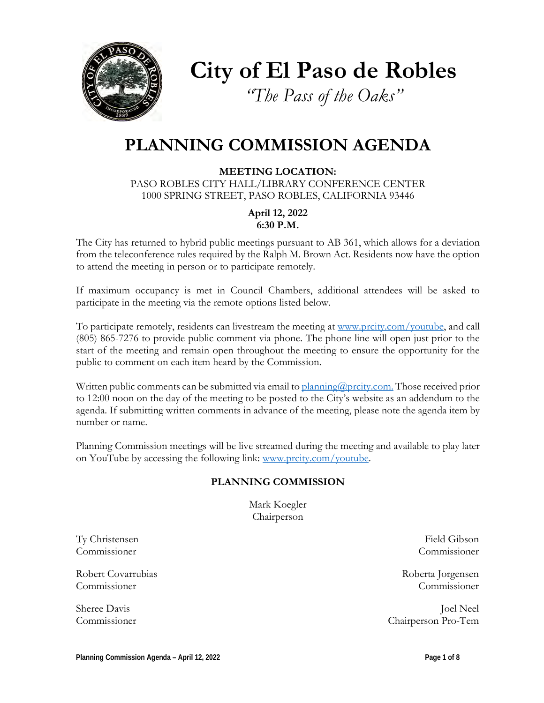

**City of El Paso de Robles**

*"The Pass of the Oaks"*

# **PLANNING COMMISSION AGENDA**

**MEETING LOCATION:** PASO ROBLES CITY HALL/LIBRARY CONFERENCE CENTER 1000 SPRING STREET, PASO ROBLES, CALIFORNIA 93446

> **April 12, 2022 6:30 P.M.**

The City has returned to hybrid public meetings pursuant to AB 361, which allows for a deviation from the teleconference rules required by the Ralph M. Brown Act. Residents now have the option to attend the meeting in person or to participate remotely.

If maximum occupancy is met in Council Chambers, additional attendees will be asked to participate in the meeting via the remote options listed below.

To participate remotely, residents can livestream the meeting at [www.prcity.com/youtube,](http://www.prcity.com/youtube) and call (805) 865-7276 to provide public comment via phone. The phone line will open just prior to the start of the meeting and remain open throughout the meeting to ensure the opportunity for the public to comment on each item heard by the Commission.

Written public comments can be submitted via email to [planning@prcity.com.](mailto:planning@prcity.com) Those received prior to 12:00 noon on the day of the meeting to be posted to the City's website as an addendum to the agenda. If submitting written comments in advance of the meeting, please note the agenda item by number or name.

Planning Commission meetings will be live streamed during the meeting and available to play later on YouTube by accessing the following link: [www.prcity.com/youtube.](http://www.prcity.com/youtube)

### **PLANNING COMMISSION**

Mark Koegler Chairperson

Ty Christensen Field Gibson Commissioner Commissioner

Robert Covarrubias and the covar and the covar and the covar and the covar and the covar and the covar and the covar and the covar and the covar and the covar and the covariance of the covariance of the covariance of the c Commissioner Commissioner

Sheree Davis Joel Neel Commissioner Chairperson Pro-Tem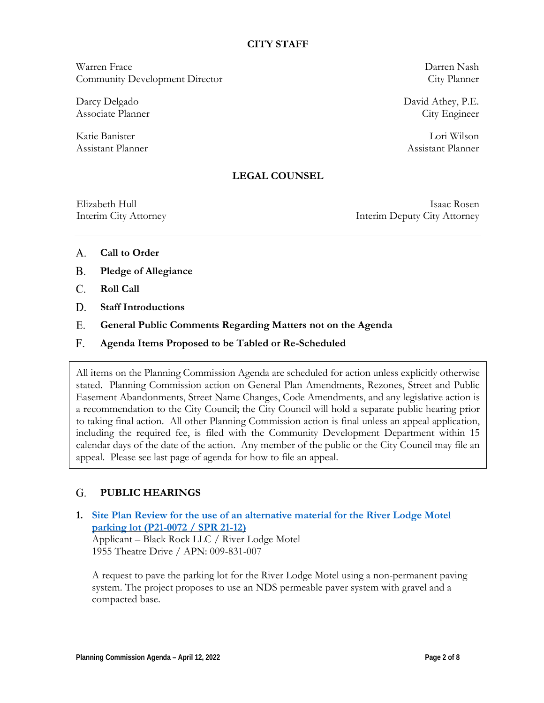### **CITY STAFF**

Warren Frace Darren Nash Community Development Director City Planner

Darcy Delgado David Athey, P.E. Associate Planner City Engineer

Katie Banister Lori Wilson Assistant Planner Assistant Planner

### **LEGAL COUNSEL**

Elizabeth Hull Isaac Rosen Interim City Attorney Interim Deputy City Attorney

- **Call to Order** A.
- **Pledge of Allegiance B.**
- **Roll Call**  C.
- **Staff Introductions D.**
- **General Public Comments Regarding Matters not on the Agenda** E.
- **Agenda Items Proposed to be Tabled or Re-Scheduled**  F.

All items on the Planning Commission Agenda are scheduled for action unless explicitly otherwise stated. Planning Commission action on General Plan Amendments, Rezones, Street and Public Easement Abandonments, Street Name Changes, Code Amendments, and any legislative action is a recommendation to the City Council; the City Council will hold a separate public hearing prior to taking final action. All other Planning Commission action is final unless an appeal application, including the required fee, is filed with the Community Development Department within 15 calendar days of the date of the action. Any member of the public or the City Council may file an appeal. Please see last page of agenda for how to file an appeal.

#### **PUBLIC HEARINGS G.**

**1. [Site Plan Review](https://www.prcity.com/DocumentCenter/View/33555/April-12-2022-Planning-Commission-Item-1-PDF) for the use of an alternative material for the River Lodge Motel [parking lot \(P21-0072 / SPR 21-12\)](https://www.prcity.com/DocumentCenter/View/33555/April-12-2022-Planning-Commission-Item-1-PDF)** Applicant – Black Rock LLC / River Lodge Motel 1955 Theatre Drive / APN: 009-831-007

A request to pave the parking lot for the River Lodge Motel using a non-permanent paving system. The project proposes to use an NDS permeable paver system with gravel and a compacted base.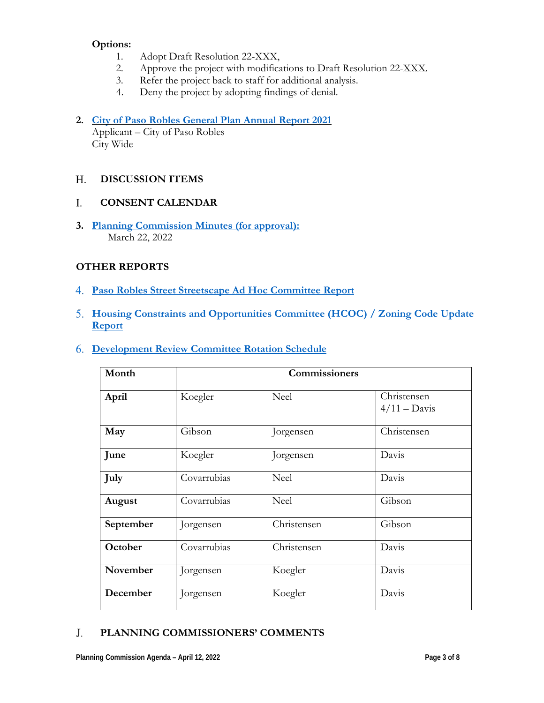### **Options:**

- 1. Adopt Draft Resolution 22-XXX,
- 2. Approve the project with modifications to Draft Resolution 22-XXX.
- 3. Refer the project back to staff for additional analysis.
- 4. Deny the project by adopting findings of denial.

## **2. City of Paso Robles [General Plan Annual](https://www.prcity.com/DocumentCenter/View/33556/April-12-2022-Planning-Commission-Item-2-PDF) Report 2021**

Applicant – City of Paso Robles City Wide

#### **DISCUSSION ITEMS**  H.

#### **CONSENT CALENDAR** I.

**3. Planning [Commission](https://www.prcity.com/DocumentCenter/View/33557/April-12-2022-Planning-Commission-Item-3-PDF) Minutes (for approval):** March 22, 2022

### **OTHER REPORTS**

- **Paso Robles Street [Streetscape](https://www.prcity.com/DocumentCenter/View/33558/April-12-2022-Planning-Commission-Item-4-PDF) Ad Hoc Committee Report** 4.
- **Housing Constraints and Opportunities Committee [\(HCOC\) / Zoning](https://www.prcity.com/DocumentCenter/View/33559/April-12-2022-Planning-Commission-Item-5-PDF) Code Update** 5. **[Report](https://www.prcity.com/DocumentCenter/View/33559/April-12-2022-Planning-Commission-Item-5-PDF)**
- **[Development](https://www.prcity.com/DocumentCenter/View/33560/April-12-2022-Planning-Commission-Item-6-PDF) Review Committee Rotation Schedule**  6.

| Month     |             | Commissioners |                                      |
|-----------|-------------|---------------|--------------------------------------|
| April     | Koegler     | Neel          | Christensen<br>$4/11 - \text{Davis}$ |
| May       | Gibson      | Jorgensen     | Christensen                          |
| June      | Koegler     | Jorgensen     | Davis                                |
| July      | Covarrubias | Neel          | Davis                                |
| August    | Covarrubias | <b>Neel</b>   | Gibson                               |
| September | Jorgensen   | Christensen   | Gibson                               |
| October   | Covarrubias | Christensen   | Davis                                |
| November  | Jorgensen   | Koegler       | Davis                                |
| December  | Jorgensen   | Koegler       | Davis                                |

#### **PLANNING COMMISSIONERS' COMMENTS** J.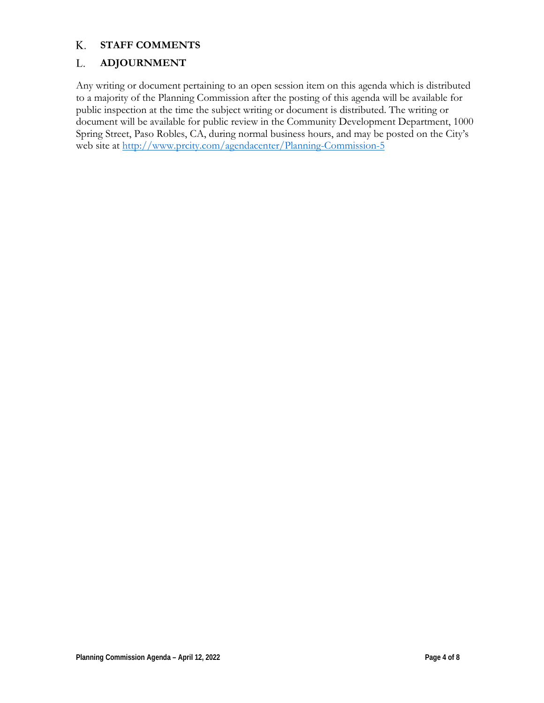#### **STAFF COMMENTS** K.

#### **ADJOURNMENT** L.

Any writing or document pertaining to an open session item on this agenda which is distributed to a majority of the Planning Commission after the posting of this agenda will be available for public inspection at the time the subject writing or document is distributed. The writing or document will be available for public review in the Community Development Department, 1000 Spring Street, Paso Robles, CA, during normal business hours, and may be posted on the City's web site at <http://www.prcity.com/agendacenter/Planning-Commission-5>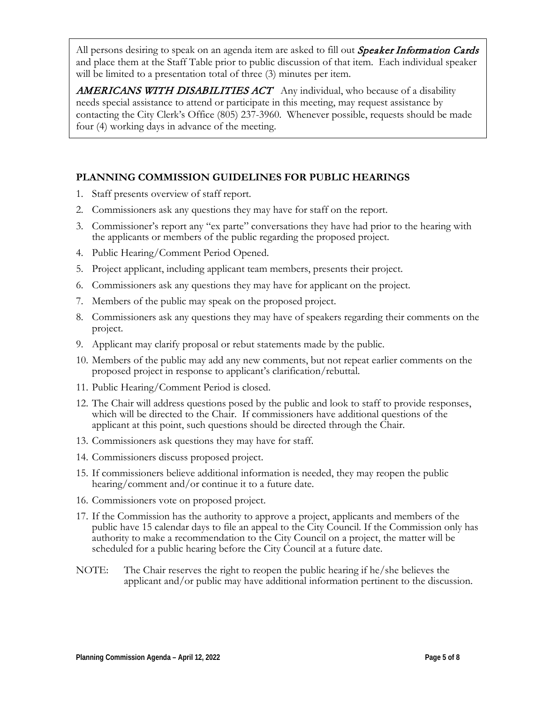All persons desiring to speak on an agenda item are asked to fill out *Speaker Information Cards* and place them at the Staff Table prior to public discussion of that item. Each individual speaker will be limited to a presentation total of three  $(3)$  minutes per item.

**AMERICANS WITH DISABILITIES ACT** Any individual, who because of a disability needs special assistance to attend or participate in this meeting, may request assistance by contacting the City Clerk's Office (805) 237-3960. Whenever possible, requests should be made four (4) working days in advance of the meeting.

### **PLANNING COMMISSION GUIDELINES FOR PUBLIC HEARINGS**

- 1. Staff presents overview of staff report.
- 2. Commissioners ask any questions they may have for staff on the report.
- 3. Commissioner's report any "ex parte" conversations they have had prior to the hearing with the applicants or members of the public regarding the proposed project.
- 4. Public Hearing/Comment Period Opened.
- 5. Project applicant, including applicant team members, presents their project.
- 6. Commissioners ask any questions they may have for applicant on the project.
- 7. Members of the public may speak on the proposed project.
- 8. Commissioners ask any questions they may have of speakers regarding their comments on the project.
- 9. Applicant may clarify proposal or rebut statements made by the public.
- 10. Members of the public may add any new comments, but not repeat earlier comments on the proposed project in response to applicant's clarification/rebuttal.
- 11. Public Hearing/Comment Period is closed.
- 12. The Chair will address questions posed by the public and look to staff to provide responses, which will be directed to the Chair. If commissioners have additional questions of the applicant at this point, such questions should be directed through the Chair.
- 13. Commissioners ask questions they may have for staff.
- 14. Commissioners discuss proposed project.
- 15. If commissioners believe additional information is needed, they may reopen the public hearing/comment and/or continue it to a future date.
- 16. Commissioners vote on proposed project.
- 17. If the Commission has the authority to approve a project, applicants and members of the public have 15 calendar days to file an appeal to the City Council. If the Commission only has authority to make a recommendation to the City Council on a project, the matter will be scheduled for a public hearing before the City Council at a future date.
- NOTE: The Chair reserves the right to reopen the public hearing if he/she believes the applicant and/or public may have additional information pertinent to the discussion.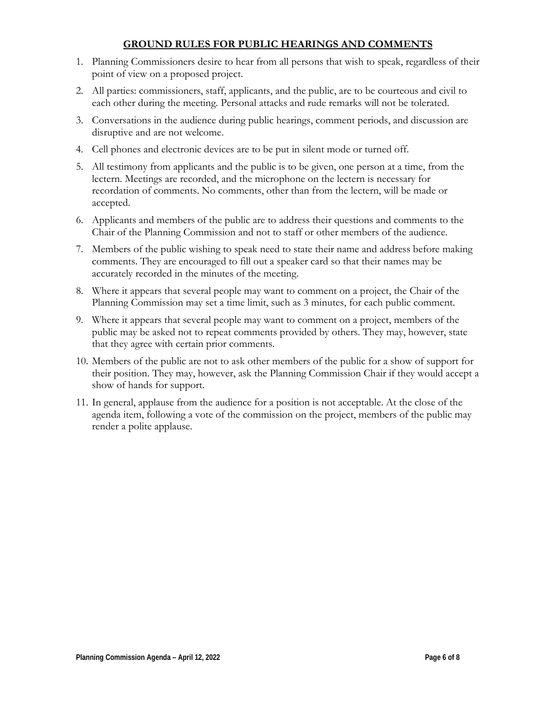### **GROUND RULES FOR PUBLIC HEARINGS AND COMMENTS**

- 1. Planning Commissioners desire to hear from all persons that wish to speak, regardless of their point of view on a proposed project.
- 2. All parties: commissioners, staff, applicants, and the public, are to be courteous and civil to each other during the meeting. Personal attacks and rude remarks will not be tolerated.
- 3. Conversations in the audience during public hearings, comment periods, and discussion are disruptive and are not welcome.
- 4. Cell phones and electronic devices are to be put in silent mode or turned off.
- 5. All testimony from applicants and the public is to be given, one person at a time, from the lectern. Meetings are recorded, and the microphone on the lectern is necessary for recordation of comments. No comments, other than from the lectern, will be made or accepted.
- 6. Applicants and members of the public are to address their questions and comments to the Chair of the Planning Commission and not to staff or other members of the audience.
- 7. Members of the public wishing to speak need to state their name and address before making comments. They are encouraged to fill out a speaker card so that their names may be accurately recorded in the minutes of the meeting.
- 8. Where it appears that several people may want to comment on a project, the Chair of the Planning Commission may set a time limit, such as 3 minutes, for each public comment.
- 9. Where it appears that several people may want to comment on a project, members of the public may be asked not to repeat comments provided by others. They may, however, state that they agree with certain prior comments.
- 10. Members of the public are not to ask other members of the public for a show of support for their position. They may, however, ask the Planning Commission Chair if they would accept a show of hands for support.
- 11. In general, applause from the audience for a position is not acceptable. At the close of the agenda item, following a vote of the commission on the project, members of the public may render a polite applause.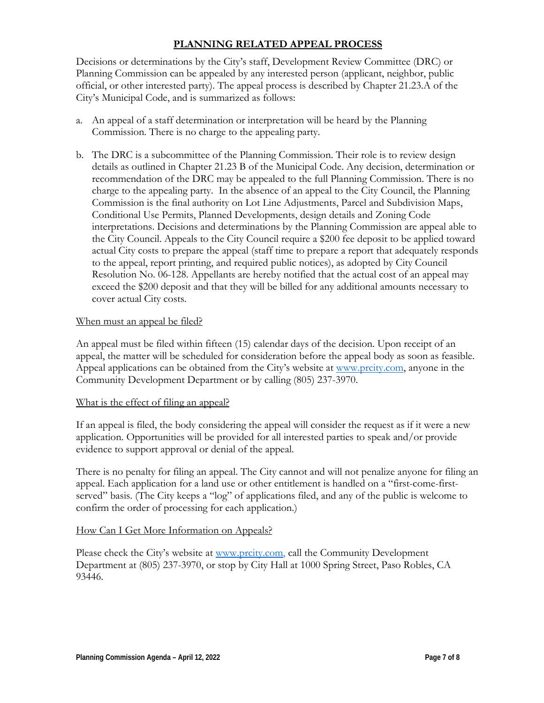### **PLANNING RELATED APPEAL PROCESS**

Decisions or determinations by the City's staff, Development Review Committee (DRC) or Planning Commission can be appealed by any interested person (applicant, neighbor, public official, or other interested party). The appeal process is described by Chapter 21.23.A of the City's Municipal Code, and is summarized as follows:

- a. An appeal of a staff determination or interpretation will be heard by the Planning Commission. There is no charge to the appealing party.
- b. The DRC is a subcommittee of the Planning Commission. Their role is to review design details as outlined in Chapter 21.23 B of the Municipal Code. Any decision, determination or recommendation of the DRC may be appealed to the full Planning Commission. There is no charge to the appealing party. In the absence of an appeal to the City Council, the Planning Commission is the final authority on Lot Line Adjustments, Parcel and Subdivision Maps, Conditional Use Permits, Planned Developments, design details and Zoning Code interpretations. Decisions and determinations by the Planning Commission are appeal able to the City Council. Appeals to the City Council require a \$200 fee deposit to be applied toward actual City costs to prepare the appeal (staff time to prepare a report that adequately responds to the appeal, report printing, and required public notices), as adopted by City Council Resolution No. 06-128. Appellants are hereby notified that the actual cost of an appeal may exceed the \$200 deposit and that they will be billed for any additional amounts necessary to cover actual City costs.

### When must an appeal be filed?

An appeal must be filed within fifteen (15) calendar days of the decision. Upon receipt of an appeal, the matter will be scheduled for consideration before the appeal body as soon as feasible. Appeal applications can be obtained from the City's website at [www.prcity.com,](http://www.prcity.com/) anyone in the Community Development Department or by calling (805) 237-3970.

### What is the effect of filing an appeal?

If an appeal is filed, the body considering the appeal will consider the request as if it were a new application. Opportunities will be provided for all interested parties to speak and/or provide evidence to support approval or denial of the appeal.

There is no penalty for filing an appeal. The City cannot and will not penalize anyone for filing an appeal. Each application for a land use or other entitlement is handled on a "first-come-firstserved" basis. (The City keeps a "log" of applications filed, and any of the public is welcome to confirm the order of processing for each application.)

### How Can I Get More Information on Appeals?

Please check the City's website at [www.prcity.com,](http://www.prcity.com/) call the Community Development Department at (805) 237-3970, or stop by City Hall at 1000 Spring Street, Paso Robles, CA 93446.